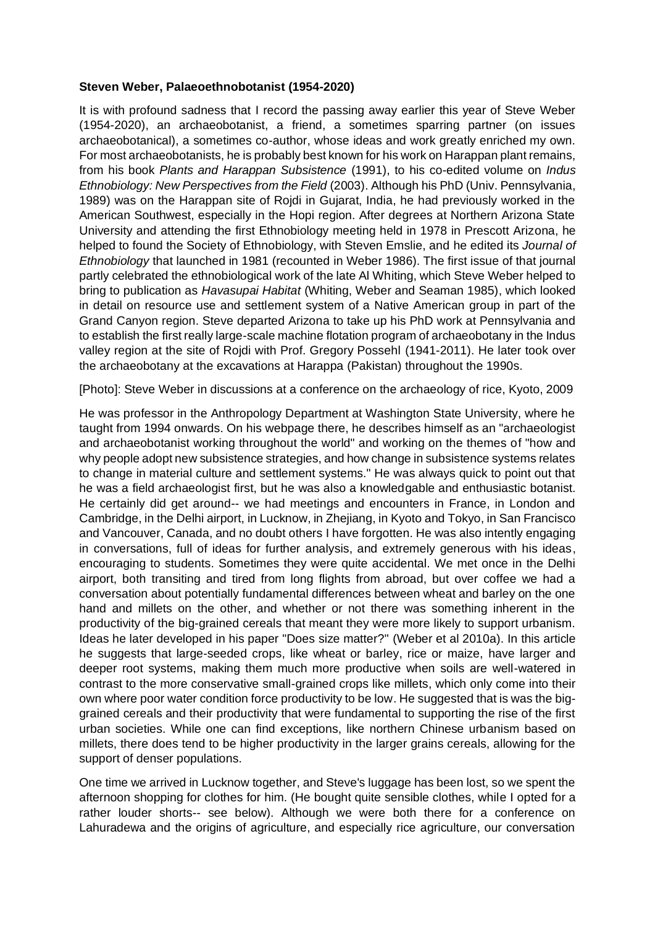## **Steven Weber, Palaeoethnobotanist (1954-2020)**

It is with profound sadness that I record the passing away earlier this year of Steve Weber (1954-2020), an archaeobotanist, a friend, a sometimes sparring partner (on issues archaeobotanical), a sometimes co-author, whose ideas and work greatly enriched my own. For most archaeobotanists, he is probably best known for his work on Harappan plant remains, from his book *Plants and Harappan Subsistence* (1991), to his co-edited volume on *Indus Ethnobiology: New Perspectives from the Field* (2003). Although his PhD (Univ. Pennsylvania, 1989) was on the Harappan site of Rojdi in Gujarat, India, he had previously worked in the American Southwest, especially in the Hopi region. After degrees at Northern Arizona State University and attending the first Ethnobiology meeting held in 1978 in Prescott Arizona, he helped to found the Society of Ethnobiology, with Steven Emslie, and he edited its *Journal of Ethnobiology* that launched in 1981 (recounted in Weber 1986). The first issue of that journal partly celebrated the ethnobiological work of the late Al Whiting, which Steve Weber helped to bring to publication as *Havasupai Habitat* (Whiting, Weber and Seaman 1985), which looked in detail on resource use and settlement system of a Native American group in part of the Grand Canyon region. Steve departed Arizona to take up his PhD work at Pennsylvania and to establish the first really large-scale machine flotation program of archaeobotany in the Indus valley region at the site of Rojdi with Prof. Gregory Possehl (1941-2011). He later took over the archaeobotany at the excavations at Harappa (Pakistan) throughout the 1990s.

[Photo]: Steve Weber in discussions at a conference on the archaeology of rice, Kyoto, 2009

He was professor in the Anthropology Department at Washington State University, where he taught from 1994 onwards. On his webpage there, he describes himself as an "archaeologist and archaeobotanist working throughout the world" and working on the themes of "how and why people adopt new subsistence strategies, and how change in subsistence systems relates to change in material culture and settlement systems." He was always quick to point out that he was a field archaeologist first, but he was also a knowledgable and enthusiastic botanist. He certainly did get around-- we had meetings and encounters in France, in London and Cambridge, in the Delhi airport, in Lucknow, in Zhejiang, in Kyoto and Tokyo, in San Francisco and Vancouver, Canada, and no doubt others I have forgotten. He was also intently engaging in conversations, full of ideas for further analysis, and extremely generous with his ideas, encouraging to students. Sometimes they were quite accidental. We met once in the Delhi airport, both transiting and tired from long flights from abroad, but over coffee we had a conversation about potentially fundamental differences between wheat and barley on the one hand and millets on the other, and whether or not there was something inherent in the productivity of the big-grained cereals that meant they were more likely to support urbanism. Ideas he later developed in his paper "Does size matter?" (Weber et al 2010a). In this article he suggests that large-seeded crops, like wheat or barley, rice or maize, have larger and deeper root systems, making them much more productive when soils are well-watered in contrast to the more conservative small-grained crops like millets, which only come into their own where poor water condition force productivity to be low. He suggested that is was the biggrained cereals and their productivity that were fundamental to supporting the rise of the first urban societies. While one can find exceptions, like northern Chinese urbanism based on millets, there does tend to be higher productivity in the larger grains cereals, allowing for the support of denser populations.

One time we arrived in Lucknow together, and Steve's luggage has been lost, so we spent the afternoon shopping for clothes for him. (He bought quite sensible clothes, while I opted for a rather louder shorts-- see below). Although we were both there for a conference on Lahuradewa and the origins of agriculture, and especially rice agriculture, our conversation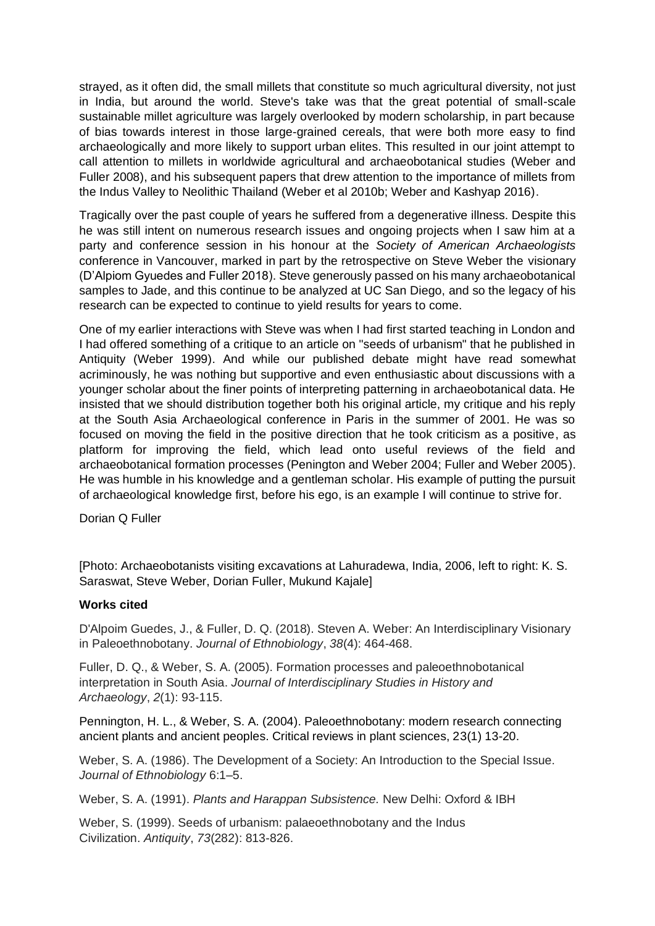strayed, as it often did, the small millets that constitute so much agricultural diversity, not just in India, but around the world. Steve's take was that the great potential of small-scale sustainable millet agriculture was largely overlooked by modern scholarship, in part because of bias towards interest in those large-grained cereals, that were both more easy to find archaeologically and more likely to support urban elites. This resulted in our joint attempt to call attention to millets in worldwide agricultural and archaeobotanical studies (Weber and Fuller 2008), and his subsequent papers that drew attention to the importance of millets from the Indus Valley to Neolithic Thailand (Weber et al 2010b; Weber and Kashyap 2016).

Tragically over the past couple of years he suffered from a degenerative illness. Despite this he was still intent on numerous research issues and ongoing projects when I saw him at a party and conference session in his honour at the *Society of American Archaeologists*  conference in Vancouver, marked in part by the retrospective on Steve Weber the visionary (D'Alpiom Gyuedes and Fuller 2018). Steve generously passed on his many archaeobotanical samples to Jade, and this continue to be analyzed at UC San Diego, and so the legacy of his research can be expected to continue to yield results for years to come.

One of my earlier interactions with Steve was when I had first started teaching in London and I had offered something of a critique to an article on "seeds of urbanism" that he published in Antiquity (Weber 1999). And while our published debate might have read somewhat acriminously, he was nothing but supportive and even enthusiastic about discussions with a younger scholar about the finer points of interpreting patterning in archaeobotanical data. He insisted that we should distribution together both his original article, my critique and his reply at the South Asia Archaeological conference in Paris in the summer of 2001. He was so focused on moving the field in the positive direction that he took criticism as a positive, as platform for improving the field, which lead onto useful reviews of the field and archaeobotanical formation processes (Penington and Weber 2004; Fuller and Weber 2005). He was humble in his knowledge and a gentleman scholar. His example of putting the pursuit of archaeological knowledge first, before his ego, is an example I will continue to strive for.

Dorian Q Fuller

[Photo: Archaeobotanists visiting excavations at Lahuradewa, India, 2006, left to right: K. S. Saraswat, Steve Weber, Dorian Fuller, Mukund Kajale]

## **Works cited**

D'Alpoim Guedes, J., & Fuller, D. Q. (2018). Steven A. Weber: An Interdisciplinary Visionary in Paleoethnobotany. *Journal of Ethnobiology*, *38*(4): 464-468.

Fuller, D. Q., & Weber, S. A. (2005). Formation processes and paleoethnobotanical interpretation in South Asia. *Journal of Interdisciplinary Studies in History and Archaeology*, *2*(1): 93-115.

Pennington, H. L., & Weber, S. A. (2004). Paleoethnobotany: modern research connecting ancient plants and ancient peoples. Critical reviews in plant sciences, 23(1) 13-20.

Weber, S. A. (1986). The Development of a Society: An Introduction to the Special Issue. *Journal of Ethnobiology* 6:1–5.

Weber, S. A. (1991). *Plants and Harappan Subsistence.* New Delhi: Oxford & IBH

Weber, S. (1999). Seeds of urbanism: palaeoethnobotany and the Indus Civilization. *Antiquity*, *73*(282): 813-826.